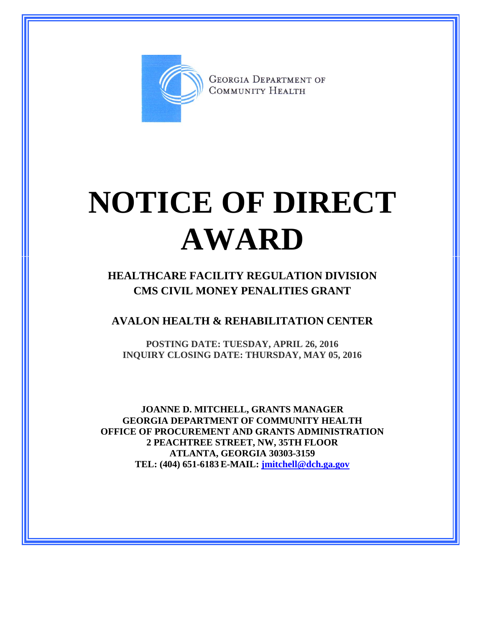

**GEORGIA DEPARTMENT OF** COMMUNITY HEALTH

## **NOTICE OF DIRECT AWARD**

**HEALTHCARE FACILITY REGULATION DIVISION CMS CIVIL MONEY PENALITIES GRANT**

**AVALON HEALTH & REHABILITATION CENTER**

**POSTING DATE: TUESDAY, APRIL 26, 2016 INQUIRY CLOSING DATE: THURSDAY, MAY 05, 2016**

**JOANNE D. MITCHELL, GRANTS MANAGER GEORGIA DEPARTMENT OF COMMUNITY HEALTH OFFICE OF PROCUREMENT AND GRANTS ADMINISTRATION 2 PEACHTREE STREET, NW, 35TH FLOOR ATLANTA, GEORGIA 30303-3159 TEL: (404) 651-6183 E-MAIL: [jmitchell@dch.ga.gov](mailto:awatson@dch.ga.gov)**